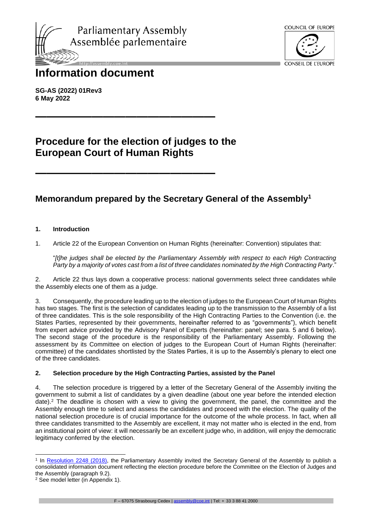



# **Information document**

**SG-AS (2022) 01Rev3 6 May 2022**

## **Procedure for the election of judges to the European Court of Human Rights**

**————————————————**

**————————————————**

## **Memorandum prepared by the Secretary General of the Assembly<sup>1</sup>**

## **1. Introduction**

1. Article 22 of the European Convention on Human Rights (hereinafter: Convention) stipulates that:

"*[t]he judges shall be elected by the Parliamentary Assembly with respect to each High Contracting Party by a majority of votes cast from a list of three candidates nominated by the High Contracting Party*."

2. Article 22 thus lays down a cooperative process: national governments select three candidates while the Assembly elects one of them as a judge.

3. Consequently, the procedure leading up to the election of judges to the European Court of Human Rights has two stages. The first is the selection of candidates leading up to the transmission to the Assembly of a list of three candidates. This is the sole responsibility of the High Contracting Parties to the Convention (i.e. the States Parties, represented by their governments, hereinafter referred to as "governments"), which benefit from expert advice provided by the Advisory Panel of Experts (hereinafter: panel; see para. 5 and 6 below). The second stage of the procedure is the responsibility of the Parliamentary Assembly. Following the assessment by its Committee on election of judges to the European Court of Human Rights (hereinafter: committee) of the candidates shortlisted by the States Parties, it is up to the Assembly's plenary to elect one of the three candidates.

## **2. Selection procedure by the High Contracting Parties, assisted by the Panel**

4. The selection procedure is triggered by a letter of the Secretary General of the Assembly inviting the government to submit a list of candidates by a given deadline (about one year before the intended election date).<sup>2</sup> The deadline is chosen with a view to giving the government, the panel, the committee and the Assembly enough time to select and assess the candidates and proceed with the election. The quality of the national selection procedure is of crucial importance for the outcome of the whole process. In fact, when all three candidates transmitted to the Assembly are excellent, it may not matter who is elected in the end, from an institutional point of view: it will necessarily be an excellent judge who, in addition, will enjoy the democratic legitimacy conferred by the election.

<sup>&</sup>lt;sup>1</sup> In [Resolution 2248 \(2018\),](http://assembly.coe.int/nw/xml/XRef/Xref-DocDetails-EN.asp?fileid=25213) the Parliamentary Assembly invited the Secretary General of the Assembly to publish a consolidated information document reflecting the election procedure before the Committee on the Election of Judges and the Assembly (paragraph 9.2).

<sup>2</sup> See model letter (in Appendix 1).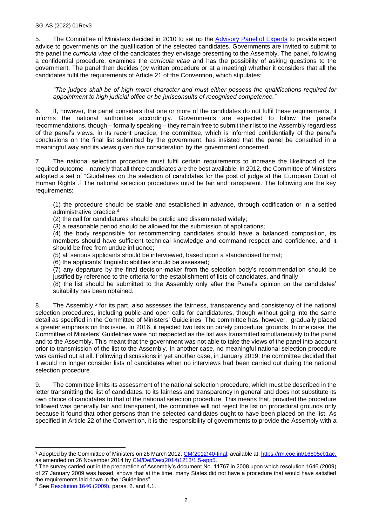## SG-AS (2022) 01Rev3

5. The Committee of Ministers decided in 2010 to set up the [Advisory Panel of Experts](https://rm.coe.int/short-guide-panel-pdf-a5-2757-1197-8497-v-1/1680a0ae31) to provide expert advice to governments on the qualification of the selected candidates. Governments are invited to submit to the panel the *curricula vitae* of the candidates they envisage presenting to the Assembly. The panel, following a confidential procedure, examines the *curricula vitae* and has the possibility of asking questions to the government. The panel then decides (by written procedure or at a meeting) whether it considers that all the candidates fulfil the requirements of Article 21 of the Convention, which stipulates:

*"The judges shall be of high moral character and must either possess the qualifications required for appointment to high judicial office or be jurisconsults of recognised competence."*

6. If, however, the panel considers that one or more of the candidates do not fulfil these requirements, it informs the national authorities accordingly. Governments are expected to follow the panel's recommendations, though – formally speaking – they remain free to submit their list to the Assembly regardless of the panel's views. In its recent practice, the committee, which is informed confidentially of the panel's conclusions on the final list submitted by the government, has insisted that the panel be consulted in a meaningful way and its views given due consideration by the government concerned.

7. The national selection procedure must fulfil certain requirements to increase the likelihood of the required outcome – namely that all three candidates are the best available. In 2012, the Committee of Ministers adopted a set of "Guidelines on the selection of candidates for the post of judge at the European Court of Human Rights".<sup>3</sup> The national selection procedures must be fair and transparent. The following are the key requirements:

(1) the procedure should be stable and established in advance, through codification or in a settled administrative practice;<sup>4</sup>

(2) the call for candidatures should be public and disseminated widely;

(3) a reasonable period should be allowed for the submission of applications;

(4) the body responsible for recommending candidates should have a balanced composition, its members should have sufficient technical knowledge and command respect and confidence, and it should be free from undue influence;

(5) all serious applicants should be interviewed, based upon a standardised format;

(6) the applicants' linguistic abilities should be assessed;

(7) any departure by the final decision-maker from the selection body's recommendation should be justified by reference to the criteria for the establishment of lists of candidates, and finally

(8) the list should be submitted to the Assembly only after the Panel's opinion on the candidates' suitability has been obtained.

8. The Assembly,<sup>5</sup> for its part, also assesses the fairness, transparency and consistency of the national selection procedures, including public and open calls for candidatures, though without going into the same detail as specified in the Committee of Ministers' Guidelines. The committee has, however, gradually placed a greater emphasis on this issue. In 2016, it rejected two lists on purely procedural grounds. In one case, the Committee of Ministers' Guidelines were not respected as the list was transmitted simultaneously to the panel and to the Assembly. This meant that the government was not able to take the views of the panel into account prior to transmission of the list to the Assembly. In another case, no meaningful national selection procedure was carried out at all. Following discussions in yet another case, in January 2019, the committee decided that it would no longer consider lists of candidates when no interviews had been carried out during the national selection procedure.

9. The committee limits its assessment of the national selection procedure, which must be described in the letter transmitting the list of candidates, to its fairness and transparency in general and does not substitute its own choice of candidates to that of the national selection procedure. This means that, provided the procedure followed was generally fair and transparent, the committee will not reject the list on procedural grounds only because it found that other persons than the selected candidates ought to have been placed on the list. As specified in Article 22 of the Convention, it is the responsibility of governments to provide the Assembly with a

<sup>&</sup>lt;sup>3</sup> Adopted by the Committee of Ministers on 28 March 2012, [CM\(2012\)40-final,](https://search.coe.int/cm/Pages/result_details.aspx?ObjectID=09000016805cb1ac) available at: [https://rm.coe.int/16805cb1ac.](https://rm.coe.int/16805cb1ac) as amended on 26 November 2014 by [CM/Del/Dec\(2014\)1213/1.5-app5.](https://search.coe.int/cm/Pages/result_details.aspx?ObjectId=09000016805c49f5)

<sup>4</sup> The survey carried out in the preparation of Assembly's document No. 11767 in 2008 upon which resolution 1646 (2009) of 27 January 2009 was based, shows that at the time, many States did not have a procedure that would have satisfied the requirements laid down in the "Guidelines".

<sup>&</sup>lt;sup>5</sup> See **Resolution 1646 (2009)**, paras. 2. and 4.1.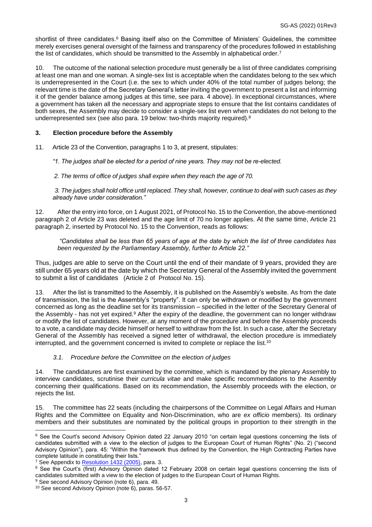shortlist of three candidates.<sup>6</sup> Basing itself also on the Committee of Ministers' Guidelines, the committee merely exercises general oversight of the fairness and transparency of the procedures followed in establishing the list of candidates, which should be transmitted to the Assembly in alphabetical order.<sup>7</sup>

10. The outcome of the national selection procedure must generally be a list of three candidates comprising at least one man and one woman. A single-sex list is acceptable when the candidates belong to the sex which is underrepresented in the Court (i.e. the sex to which under 40% of the total number of judges belong; the relevant time is the date of the Secretary General's letter inviting the government to present a list and informing it of the gender balance among judges at this time, see para. 4 above). In exceptional circumstances, where a government has taken all the necessary and appropriate steps to ensure that the list contains candidates of both sexes, the Assembly may decide to consider a single-sex list even when candidates do not belong to the underrepresented sex (see also para. 19 below: two-thirds majority required).<sup>8</sup>

## **3. Election procedure before the Assembly**

11. Article 23 of the Convention, paragraphs 1 to 3, at present, stipulates:

*"1. The judges shall be elected for a period of nine years. They may not be re-elected.*

*2. The terms of office of judges shall expire when they reach the age of 70.*

*3. The judges shall hold office until replaced. They shall, however, continue to deal with such cases as they already have under consideration."*

12. After the entry into force, on 1 August 2021, of Protocol No. 15 to the Convention, the above-mentioned paragraph 2 of Article 23 was deleted and the age limit of 70 no longer applies. At the same time, Article 21 paragraph 2, inserted by Protocol No. 15 to the Convention, reads as follows:

*"Candidates shall be less than 65 years of age at the date by which the list of three candidates has been requested by the Parliamentary Assembly, further to Article 22."*

Thus, judges are able to serve on the Court until the end of their mandate of 9 years, provided they are still under 65 years old at the date by which the Secretary General of the Assembly invited the government to submit a list of candidates [\(Article 2 of Protocol](http://www.echr.coe.int/Documents/Protocol_15_ENG.pdf) No. 15).

13. After the list is transmitted to the Assembly, it is published on the Assembly's website. As from the date of transmission, the list is the Assembly's "property". It can only be withdrawn or modified by the government concerned as long as the deadline set for its transmission – specified in the letter of the Secretary General of the Assembly - has not yet expired.<sup>9</sup> After the expiry of the deadline, the government can no longer withdraw or modify the list of candidates. However, at any moment of the procedure and before the Assembly proceeds to a vote, a candidate may decide himself or herself to withdraw from the list. In such a case, after the Secretary General of the Assembly has received a signed letter of withdrawal, the election procedure is immediately interrupted, and the government concerned is invited to complete or replace the list.<sup>10</sup>

## *3.1. Procedure before the Committee on the election of judges*

14. The candidatures are first examined by the committee, which is mandated by the plenary Assembly to interview candidates, scrutinise their *curricula vitae* and make specific recommendations to the Assembly concerning their qualifications. Based on its recommendation, the Assembly proceeds with the election, or rejects the list.

15. The committee has 22 seats (including the chairpersons of the Committee on Legal Affairs and Human Rights and the Committee on Equality and Non-Discrimination, who are *ex officio* members). Its ordinary members and their substitutes are nominated by the political groups in proportion to their strength in the

<sup>&</sup>lt;sup>6</sup> See the Court's second Advisory Opinion dated 22 January 2010 "on certain legal questions concerning the lists of candidates submitted with a view to the election of judges to the European Court of Human Rights" (No. 2) ("second Advisory Opinion"), para. 45: "Within the framework thus defined by the Convention, the High Contracting Parties have complete latitude in constituting their lists."

<sup>&</sup>lt;sup>7</sup> See Appendix to [Resolution 1432 \(2005\),](http://assembly.coe.int/nw/xml/XRef/Xref-DocDetails-EN.asp?fileid=17316) para. 3.

<sup>&</sup>lt;sup>8</sup> See the Court's (first) Advisory Opinion dated 12 February 2008 on certain legal questions concerning the lists of candidates submitted with a view to the election of judges to the European Court of Human Rights.

<sup>&</sup>lt;sup>9</sup> See second Advisory Opinion (note 6), para. 49.

<sup>10</sup> See second Advisory Opinion (note 6), paras. 56-57.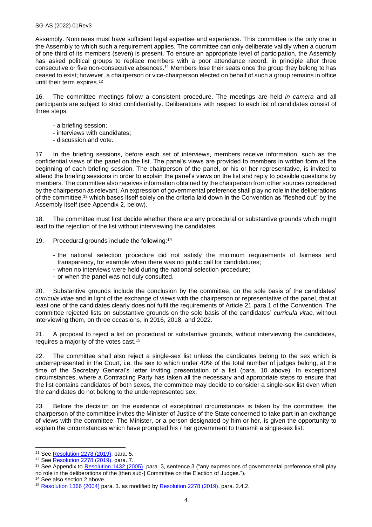Assembly. Nominees must have sufficient legal expertise and experience. This committee is the only one in the Assembly to which such a requirement applies. The committee can only deliberate validly when a quorum of one third of its members (seven) is present. To ensure an appropriate level of participation, the Assembly has asked political groups to replace members with a poor attendance record, in principle after three consecutive or five non-consecutive absences.<sup>11</sup> Members lose their seats once the group they belong to has ceased to exist; however, a chairperson or vice-chairperson elected on behalf of such a group remains in office until their term expires.<sup>12</sup>

16. The committee meetings follow a consistent procedure. The meetings are held *in camera* and all participants are subject to strict confidentiality. Deliberations with respect to each list of candidates consist of three steps:

- a briefing session;
- interviews with candidates;
- discussion and vote.

17. In the briefing sessions, before each set of interviews, members receive information, such as the confidential views of the panel on the list. The panel's views are provided to members in written form at the beginning of each briefing session. The chairperson of the panel, or his or her representative, is invited to attend the briefing sessions in order to explain the panel's views on the list and reply to possible questions by members. The committee also receives information obtained by the chairperson from other sources considered by the chairperson as relevant. An expression of governmental preference shall play no role in the deliberations of the committee,<sup>13</sup> which bases itself solely on the criteria laid down in the Convention as "fleshed out" by the Assembly itself (see Appendix 2, below).

18. The committee must first decide whether there are any procedural or substantive grounds which might lead to the rejection of the list without interviewing the candidates.

- 19. Procedural grounds include the following:<sup>14</sup>
	- the national selection procedure did not satisfy the minimum requirements of fairness and transparency, for example when there was no public call for candidatures;
	- when no interviews were held during the national selection procedure;
	- or when the panel was not duly consulted.

20. Substantive grounds include the conclusion by the committee, on the sole basis of the candidates' *curricula vitae* and in light of the exchange of views with the chairperson or representative of the panel, that at least one of the candidates clearly does not fulfil the requirements of Article 21 para.1 of the Convention. The committee rejected lists on substantive grounds on the sole basis of the candidates' *curricula vitae,* without interviewing them, on three occasions, in 2016, 2018, and 2022.

21. A proposal to reject a list on procedural or substantive grounds, without interviewing the candidates, requires a majority of the votes cast.<sup>15</sup>

22. The committee shall also reject a single-sex list unless the candidates belong to the sex which is underrepresented in the Court, i.e. the sex to which under 40% of the total number of judges belong, at the time of the Secretary General's letter inviting presentation of a list (para. 10 above). In exceptional circumstances, where a Contracting Party has taken all the necessary and appropriate steps to ensure that the list contains candidates of both sexes, the committee may decide to consider a single-sex list even when the candidates do not belong to the underrepresented sex.

23. Before the decision on the existence of exceptional circumstances is taken by the committee, the chairperson of the committee invites the Minister of Justice of the State concerned to take part in an exchange of views with the committee. The Minister, or a person designated by him or her, is given the opportunity to explain the circumstances which have prompted his / her government to transmit a single-sex list.

<sup>&</sup>lt;sup>11</sup> See **Resolution 2278 (2019)**, para. 5.

<sup>12</sup> See [Resolution 2278 \(2019\),](http://assembly.coe.int/nw/xml/XRef/Xref-DocDetails-EN.asp?fileid=27665) para. 7.

<sup>&</sup>lt;sup>13</sup> See Appendix to [Resolution 1432 \(2005\),](http://assembly.coe.int/nw/xml/XRef/Xref-DocDetails-EN.asp?fileid=17316) para. 3, sentence 3 ("any expressions of governmental preference shall play no role in the deliberations of the [then sub-] Committee on the Election of Judges.").

<sup>&</sup>lt;sup>14</sup> See also section 2 above.

<sup>&</sup>lt;sup>15</sup> [Resolution 1366 \(2004\)](http://assembly.coe.int/nw/xml/XRef/Xref-DocDetails-EN.asp?fileid=17194) para. 3. as modified by [Resolution 2278 \(2019\),](http://assembly.coe.int/nw/xml/XRef/Xref-DocDetails-EN.asp?fileid=27665) para. 2.4.2.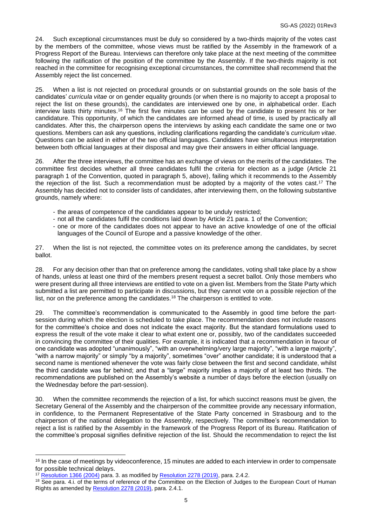24. Such exceptional circumstances must be duly so considered by a two-thirds majority of the votes cast by the members of the committee, whose views must be ratified by the Assembly in the framework of a Progress Report of the Bureau. Interviews can therefore only take place at the next meeting of the committee following the ratification of the position of the committee by the Assembly. If the two-thirds majority is not reached in the committee for recognising exceptional circumstances, the committee shall recommend that the Assembly reject the list concerned.

25. When a list is not rejected on procedural grounds or on substantial grounds on the sole basis of the candidates' *curricula vitae* or on gender equality grounds (or when there is no majority to accept a proposal to reject the list on these grounds), the candidates are interviewed one by one, in alphabetical order. Each interview lasts thirty minutes.<sup>16</sup> The first five minutes can be used by the candidate to present his or her candidature. This opportunity, of which the candidates are informed ahead of time, is used by practically all candidates. After this, the chairperson opens the interviews by asking each candidate the same one or two questions. Members can ask any questions, including clarifications regarding the candidate's *curriculum vitae*. Questions can be asked in either of the two official languages. Candidates have simultaneous interpretation between both official languages at their disposal and may give their answers in either official language.

26. After the three interviews, the committee has an exchange of views on the merits of the candidates. The committee first decides whether all three candidates fulfil the criteria for election as a judge (Article 21 paragraph 1 of the Convention, quoted in paragraph 5, above), failing which it recommends to the Assembly the rejection of the list. Such a recommendation must be adopted by a majority of the votes cast. <sup>17</sup> The Assembly has decided not to consider lists of candidates, after interviewing them, on the following substantive grounds, namely where:

- the areas of competence of the candidates appear to be unduly restricted;
- not all the candidates fulfil the conditions laid down by Article 21 para. 1 of the Convention;
- one or more of the candidates does not appear to have an active knowledge of one of the official languages of the Council of Europe and a passive knowledge of the other.

27. When the list is not rejected, the committee votes on its preference among the candidates, by secret ballot.

28. For any decision other than that on preference among the candidates, voting shall take place by a show of hands, unless at least one third of the members present request a secret ballot. Only those members who were present during all three interviews are entitled to vote on a given list. Members from the State Party which submitted a list are permitted to participate in discussions, but they cannot vote on a possible rejection of the list, nor on the preference among the candidates.<sup>18</sup> The chairperson is entitled to vote.

29. The committee's recommendation is communicated to the Assembly in good time before the partsession during which the election is scheduled to take place. The recommendation does not include reasons for the committee's choice and does not indicate the exact majority. But the standard formulations used to express the result of the vote make it clear to what extent one or, possibly, two of the candidates succeeded in convincing the committee of their qualities. For example, it is indicated that a recommendation in favour of one candidate was adopted "unanimously", "with an overwhelming/very large majority", "with a large majority", "with a narrow majority" or simply "by a majority", sometimes "over" another candidate; it is understood that a second name is mentioned whenever the vote was fairly close between the first and second candidate, whilst the third candidate was far behind; and that a "large" majority implies a majority of at least two thirds. The recommendations are published on the Assembly's website a number of days before the election (usually on the Wednesday before the part-session).

30. When the committee recommends the rejection of a list, for which succinct reasons must be given, the Secretary General of the Assembly and the chairperson of the committee provide any necessary information, in confidence, to the Permanent Representative of the State Party concerned in Strasbourg and to the chairperson of the national delegation to the Assembly, respectively. The committee's recommendation to reject a list is ratified by the Assembly in the framework of the Progress Report of its Bureau. Ratification of the committee's proposal signifies definitive rejection of the list. Should the recommendation to reject the list

<sup>&</sup>lt;sup>16</sup> In the case of meetings by videoconference, 15 minutes are added to each interview in order to compensate for possible technical delays.

<sup>&</sup>lt;sup>17</sup> [Resolution 1366 \(2004\)](http://assembly.coe.int/nw/xml/XRef/Xref-DocDetails-EN.asp?fileid=17194) para. 3. as modified by [Resolution 2278 \(2019\),](http://assembly.coe.int/nw/xml/XRef/Xref-DocDetails-EN.asp?fileid=27665) para. 2.4.2.

<sup>&</sup>lt;sup>18</sup> See para. 4.i. of the terms of reference of the Committee on the Election of Judges to the European Court of Human Rights as amended b[y Resolution 2278 \(2019\),](http://assembly.coe.int/nw/xml/XRef/Xref-DocDetails-EN.asp?fileid=27665) para. 2.4.1.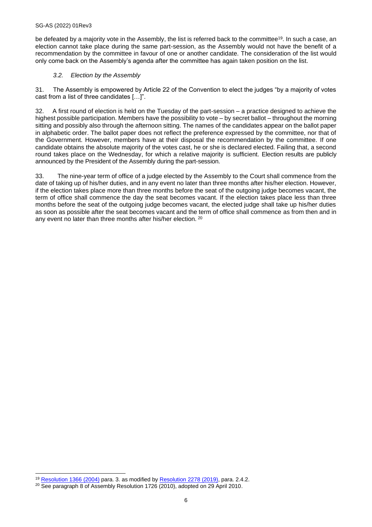be defeated by a majority vote in the Assembly, the list is referred back to the committee<sup>19</sup>. In such a case, an election cannot take place during the same part-session, as the Assembly would not have the benefit of a recommendation by the committee in favour of one or another candidate. The consideration of the list would only come back on the Assembly's agenda after the committee has again taken position on the list.

## *3.2. Election by the Assembly*

31. The Assembly is empowered by Article 22 of the Convention to elect the judges "by a majority of votes cast from a list of three candidates […]".

32. A first round of election is held on the Tuesday of the part-session – a practice designed to achieve the highest possible participation. Members have the possibility to vote – by secret ballot – throughout the morning sitting and possibly also through the afternoon sitting. The names of the candidates appear on the ballot paper in alphabetic order. The ballot paper does not reflect the preference expressed by the committee, nor that of the Government. However, members have at their disposal the recommendation by the committee. If one candidate obtains the absolute majority of the votes cast, he or she is declared elected. Failing that, a second round takes place on the Wednesday, for which a relative majority is sufficient. Election results are publicly announced by the President of the Assembly during the part-session.

33. The nine-year term of office of a judge elected by the Assembly to the Court shall commence from the date of taking up of his/her duties, and in any event no later than three months after his/her election. However, if the election takes place more than three months before the seat of the outgoing judge becomes vacant, the term of office shall commence the day the seat becomes vacant. If the election takes place less than three months before the seat of the outgoing judge becomes vacant, the elected judge shall take up his/her duties as soon as possible after the seat becomes vacant and the term of office shall commence as from then and in any event no later than three months after his/her election. <sup>20</sup>

<sup>19</sup> [Resolution 1366 \(2004\)](http://assembly.coe.int/nw/xml/XRef/Xref-DocDetails-EN.asp?fileid=17194) para. 3. as modified by [Resolution 2278 \(2019\),](http://assembly.coe.int/nw/xml/XRef/Xref-DocDetails-EN.asp?fileid=27665) para. 2.4.2.

<sup>&</sup>lt;sup>20</sup> See paragraph 8 of Assembly Resolution 1726 (2010), adopted on 29 April 2010.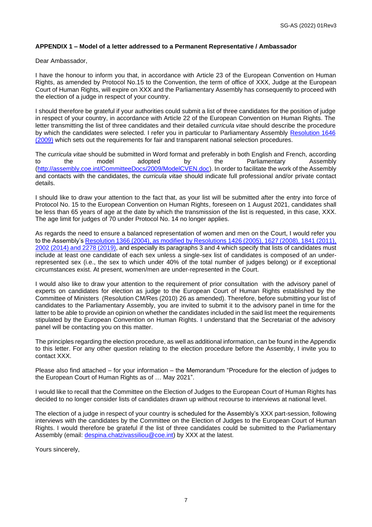## **APPENDIX 1 – Model of a letter addressed to a Permanent Representative / Ambassador**

Dear Ambassador,

I have the honour to inform you that, in accordance with Article 23 of the European Convention on Human Rights, as amended by Protocol No.15 to the Convention, the term of office of XXX, Judge at the European Court of Human Rights, will expire on XXX and the Parliamentary Assembly has consequently to proceed with the election of a judge in respect of your country.

I should therefore be grateful if your authorities could submit a list of three candidates for the position of judge in respect of your country, in accordance with Article 22 of the European Convention on Human Rights. The letter transmitting the list of three candidates and their detailed *curricula vitae* should describe the procedure by which the candidates were selected. I refer you in particular to Parliamentary Assembly [Resolution 1646](http://assembly.coe.int/nw/xml/XRef/Xref-DocDetails-EN.asp?fileid=17704)  [\(2009\)](http://assembly.coe.int/nw/xml/XRef/Xref-DocDetails-EN.asp?fileid=17704) which sets out the requirements for fair and transparent national selection procedures.

The *curricula vitae* should be submitted in Word format and preferably in both English and French, according to the model adopted by the Parliamentary Assembly [\(http://assembly.coe.int/CommitteeDocs/2009/ModelCVEN.doc\)](http://assembly.coe.int/CommitteeDocs/2009/ModelCVEN.doc). In order to facilitate the work of the Assembly and contacts with the candidates, the *curricula vitae* should indicate full professional and/or private contact details.

I should like to draw your attention to the fact that, as your list will be submitted after the entry into force of Protocol No. 15 to the European Convention on Human Rights, foreseen on 1 August 2021, candidates shall be less than 65 years of age at the date by which the transmission of the list is requested, in this case, XXX. The age limit for judges of 70 under Protocol No. 14 no longer applies.

As regards the need to ensure a balanced representation of women and men on the Court, I would refer you to the Assembly's Resolution 1366 (2004), as modified [by Resolutions 1426 \(2005\), 1627 \(2008\), 1841 \(2011\),](http://assembly.coe.int/nw/xml/RoP/RoP-XML2HTML-EN.asp?id=EN_CEGCAIFG#Format-It)  [2002 \(2014\) and 2278 \(2019\),](http://assembly.coe.int/nw/xml/RoP/RoP-XML2HTML-EN.asp?id=EN_CEGCAIFG#Format-It) and especially its paragraphs 3 and 4 which specify that lists of candidates must include at least one candidate of each sex unless a single-sex list of candidates is composed of an underrepresented sex (i.e., the sex to which under 40% of the total number of judges belong) or if exceptional circumstances exist. At present, women/men are under-represented in the Court.

I would also like to draw your attention to the requirement of prior consultation with the advisory panel of experts on candidates for election as judge to the European Court of Human Rights established by the Committee of Ministers (Resolution CM/Res (2010) 26 as amended). Therefore, before submitting your list of candidates to the Parliamentary Assembly, you are invited to submit it to the advisory panel in time for the latter to be able to provide an opinion on whether the candidates included in the said list meet the requirements stipulated by the European Convention on Human Rights. I understand that the Secretariat of the advisory panel will be contacting you on this matter.

The principles regarding the election procedure, as well as additional information, can be found in the Appendix to this letter. For any other question relating to the election procedure before the Assembly, I invite you to contact XXX.

Please also find attached – for your information – the Memorandum "Procedure for the election of judges to the European Court of Human Rights as of … May 2021".

I would like to recall that the Committee on the Election of Judges to the European Court of Human Rights has decided to no longer consider lists of candidates drawn up without recourse to interviews at national level.

The election of a judge in respect of your country is scheduled for the Assembly's XXX part-session, following interviews with the candidates by the Committee on the Election of Judges to the European Court of Human Rights. I would therefore be grateful if the list of three candidates could be submitted to the Parliamentary Assembly (email: [despina.chatzivassiliou@coe.int\)](mailto:despina.chatzivassiliou@coe.int) by XXX at the latest.

Yours sincerely,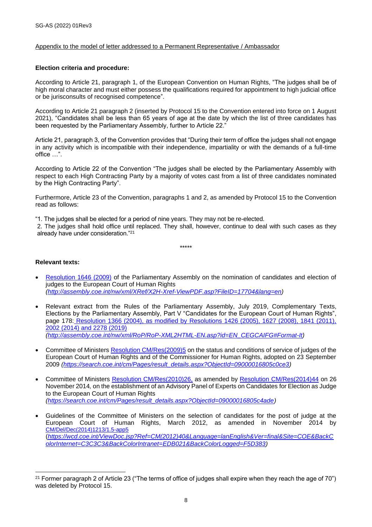## Appendix to the model of letter addressed to a Permanent Representative / Ambassador

## **Election criteria and procedure:**

According to Article 21, paragraph 1, of the European Convention on Human Rights, "The judges shall be of high moral character and must either possess the qualifications required for appointment to high judicial office or be jurisconsults of recognised competence".

According to Article 21 paragraph 2 (inserted by Protocol 15 to the Convention entered into force on 1 August 2021), "Candidates shall be less than 65 years of age at the date by which the list of three candidates has been requested by the Parliamentary Assembly, further to Article 22."

Article 21, paragraph 3, of the Convention provides that "During their term of office the judges shall not engage in any activity which is incompatible with their independence, impartiality or with the demands of a full-time office …".

According to Article 22 of the Convention "The judges shall be elected by the Parliamentary Assembly with respect to each High Contracting Party by a majority of votes cast from a list of three candidates nominated by the High Contracting Party".

Furthermore, Article 23 of the Convention, paragraphs 1 and 2, as amended by Protocol 15 to the Convention read as follows:

"1. The judges shall be elected for a period of nine years. They may not be re-elected.

2. The judges shall hold office until replaced. They shall, however, continue to deal with such cases as they already have under consideration."<sup>21</sup>

\*\*\*\*\*

**Relevant texts:**

- [Resolution 1646 \(2009\)](http://assembly.coe.int/nw/xml/XRef/Xref-DocDetails-EN.asp?FileID=17704&lang=EN) of the Parliamentary Assembly on the nomination of candidates and election of judges to the European Court of Human Rights *[\(http://assembly.coe.int/nw/xml/XRef/X2H-Xref-ViewPDF.asp?FileID=17704&lang=en\)](http://assembly.coe.int/nw/xml/XRef/X2H-Xref-ViewPDF.asp?FileID=17704&lang=en)*
- Relevant extract from the Rules of the Parliamentary Assembly, July 2019, Complementary Texts, Elections by the Parliamentary Assembly, Part V "Candidates for the European Court of Human Rights", page 178: [Resolution 1366 \(2004\), as modified by Resolutions 1426 \(2005\), 1627 \(2008\), 1841 \(2011\),](http://assembly.coe.int/nw/xml/RoP/RoP-XML2HTML-EN.asp?id=EN_CEGCAIFG#Format-It)  [2002 \(2014\) and 2278 \(2019\)](http://assembly.coe.int/nw/xml/RoP/RoP-XML2HTML-EN.asp?id=EN_CEGCAIFG#Format-It) *[\(http://assembly.coe.int/nw/xml/RoP/RoP-XML2HTML-EN.asp?id=EN\\_CEGCAIFG#Format-It\)](http://assembly.coe.int/nw/xml/RoP/RoP-XML2HTML-EN.asp?id=EN_CEGCAIFG#Format-It)*
- Committee of Ministers [Resolution CM/Res\(2009\)5](https://search.coe.int/cm/Pages/result_details.aspx?ObjectId=09000016805c0ce3) on the status and conditions of service of judges of the European Court of Human Rights and of the Commissioner for Human Rights, adopted on 23 September 2009 *[\(https://search.coe.int/cm/Pages/result\\_details.aspx?ObjectId=09000016805c0ce3\)](https://search.coe.int/cm/Pages/result_details.aspx?ObjectId=09000016805c0ce3)*
- Committee of Ministers [Resolution CM/Res\(2010\)26,](https://search.coe.int/cm/Pages/result_details.aspx?ObjectId=09000016805cdf79) as amended by [Resolution CM/Res\(2014\)44](https://search.coe.int/cm/Pages/result_details.aspx?ObjectId=09000016805c4ade) on 26 November 2014*,* on the establishment of an Advisory Panel of Experts on Candidates for Election as Judge to the European Court of Human Rights *[\(https://search.coe.int/cm/Pages/result\\_details.aspx?ObjectId=09000016805c4ade\)](https://search.coe.int/cm/Pages/result_details.aspx?ObjectId=09000016805c4ade)*
- Guidelines of the Committee of Ministers on the selection of candidates for the post of judge at the European Court of Human Rights, March 2012, as amended in November 2014 by [CM/Del/Dec\(2014\)1213/1.5-app5](https://search.coe.int/cm/Pages/result_details.aspx?ObjectId=09000016805c49f5) (*[https://wcd.coe.int/ViewDoc.jsp?Ref=CM\(2012\)40&Language=lanEnglish&Ver=final&Site=COE&BackC](https://wcd.coe.int/ViewDoc.jsp?Ref=CM(2012)40&Language=lanEnglish&Ver=final&Site=COE&BackColorInternet=C3C3C3&BackColorIntranet=EDB021&BackColorLogged=F5D383) [olorInternet=C3C3C3&BackColorIntranet=EDB021&BackColorLogged=F5D383\)](https://wcd.coe.int/ViewDoc.jsp?Ref=CM(2012)40&Language=lanEnglish&Ver=final&Site=COE&BackColorInternet=C3C3C3&BackColorIntranet=EDB021&BackColorLogged=F5D383)*

<sup>21</sup> Former paragraph 2 of Article 23 ("The terms of office of judges shall expire when they reach the age of 70") was deleted by Protocol 15.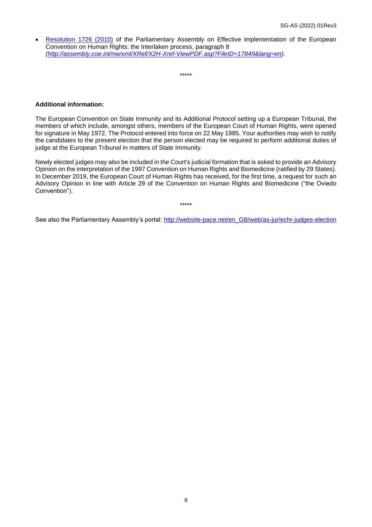• [Resolution 1726 \(2010\)](http://assembly.coe.int/nw/xml/XRef/Xref-DocDetails-EN.asp?FileID=17849&lang=EN) of the Parliamentary Assembly on Effective implementation of the European Convention on Human Rights: the Interlaken process, paragraph 8 *[\(http://assembly.coe.int/nw/xml/XRef/X2H-Xref-ViewPDF.asp?FileID=17849&lang=en\)](http://assembly.coe.int/nw/xml/XRef/X2H-Xref-ViewPDF.asp?FileID=17849&lang=en).*

\*\*\*\*\*

## **Additional information:**

The European Convention on State Immunity and its Additional Protocol setting up a European Tribunal, the members of which include, amongst others, members of the European Court of Human Rights, were opened for signature in May 1972. The Protocol entered into force on 22 May 1985. Your authorities may wish to notify the candidates to the present election that the person elected may be required to perform additional duties of judge at the European Tribunal in matters of State Immunity.

Newly elected judges may also be included in the Court's judicial formation that is asked to provide an Advisory Opinion on the interpretation of the 1997 Convention on Human Rights and Biomedicine (ratified by 29 States). In December 2019, the European Court of Human Rights has received, for the first time, a request for such an Advisory Opinion in line with Article 29 of the Convention on Human Rights and Biomedicine ("the Oviedo Convention").

\*\*\*\*\*

See also the Parliamentary Assembly's portal: [http://website-pace.net/en\\_GB/web/as-jur/echr-judges-election](http://website-pace.net/en_GB/web/as-jur/echr-judges-election)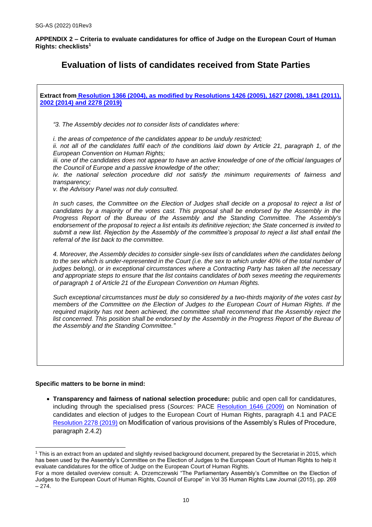**APPENDIX 2 – Criteria to evaluate candidatures for office of Judge on the European Court of Human Rights: checklists<sup>1</sup>**

## **Evaluation of lists of candidates received from State Parties**

| Extract from Resolution 1366 (2004), as modified by Resolutions 1426 (2005), 1627 (2008), 1841 (2011),<br>2002 (2014) and 2278 (2019)                                                                                                                                                                                                                                                                                                                                                                                                                                                    |
|------------------------------------------------------------------------------------------------------------------------------------------------------------------------------------------------------------------------------------------------------------------------------------------------------------------------------------------------------------------------------------------------------------------------------------------------------------------------------------------------------------------------------------------------------------------------------------------|
| "3. The Assembly decides not to consider lists of candidates where:                                                                                                                                                                                                                                                                                                                                                                                                                                                                                                                      |
| <i>i. the areas of competence of the candidates appear to be unduly restricted;</i><br>ii. not all of the candidates fulfil each of the conditions laid down by Article 21, paragraph 1, of the<br>European Convention on Human Rights;<br>iii. one of the candidates does not appear to have an active knowledge of one of the official languages of<br>the Council of Europe and a passive knowledge of the other;<br>iv. the national selection procedure did not satisfy the minimum requirements of fairness and<br>transparency;<br>v. the Advisory Panel was not duly consulted.  |
| In such cases, the Committee on the Election of Judges shall decide on a proposal to reject a list of<br>candidates by a majority of the votes cast. This proposal shall be endorsed by the Assembly in the<br>Progress Report of the Bureau of the Assembly and the Standing Committee. The Assembly's<br>endorsement of the proposal to reject a list entails its definitive rejection; the State concerned is invited to<br>submit a new list. Rejection by the Assembly of the committee's proposal to reject a list shall entail the<br>referral of the list back to the committee. |
| 4. Moreover, the Assembly decides to consider single-sex lists of candidates when the candidates belong<br>to the sex which is under-represented in the Court (i.e. the sex to which under 40% of the total number of<br>judges belong), or in exceptional circumstances where a Contracting Party has taken all the necessary<br>and appropriate steps to ensure that the list contains candidates of both sexes meeting the requirements<br>of paragraph 1 of Article 21 of the European Convention on Human Rights.                                                                   |
| Such exceptional circumstances must be duly so considered by a two-thirds majority of the votes cast by<br>members of the Committee on the Election of Judges to the European Court of Human Rights. If the<br>required majority has not been achieved, the committee shall recommend that the Assembly reject the<br>list concerned. This position shall be endorsed by the Assembly in the Progress Report of the Bureau of<br>the Assembly and the Standing Committee."                                                                                                               |
|                                                                                                                                                                                                                                                                                                                                                                                                                                                                                                                                                                                          |

## **Specific matters to be borne in mind:**

• **Transparency and fairness of national selection procedure:** public and open call for candidatures, including through the specialised press (*Sources:* PACE [Resolution 1646 \(2009\)](http://assembly.coe.int/nw/xml/XRef/Xref-DocDetails-EN.asp?fileid=17704) on Nomination of candidates and election of judges to the European Court of Human Rights, paragraph 4.1 and PACE [Resolution 2278 \(2019\)](http://assembly.coe.int/nw/xml/XRef/Xref-DocDetails-EN.asp?fileid=27665) on Modification of various provisions of the Assembly's Rules of Procedure, paragraph 2.4.2)

<sup>1</sup> This is an extract from an updated and slightly revised background document, prepared by the Secretariat in 2015, which has been used by the Assembly's Committee on the Election of Judges to the European Court of Human Rights to help it evaluate candidatures for the office of Judge on the European Court of Human Rights.

For a more detailed overview consult: A. Drzemczewski "The Parliamentary Assembly's Committee on the Election of Judges to the European Court of Human Rights, Council of Europe" in Vol 35 Human Rights Law Journal (2015), pp. 269 – 274.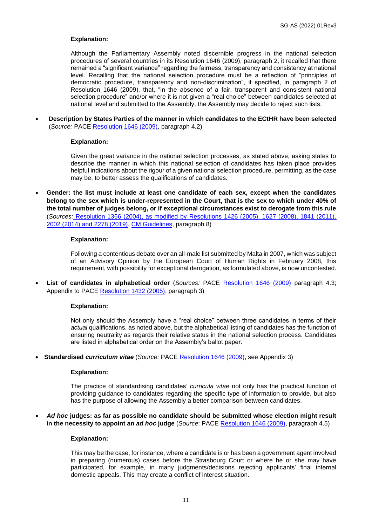## **Explanation:**

Although the Parliamentary Assembly noted discernible progress in the national selection procedures of several countries in its Resolution 1646 (2009), paragraph 2, it recalled that there remained a "significant variance" regarding the fairness, transparency and consistency at national level. Recalling that the national selection procedure must be a reflection of "principles of democratic procedure, transparency and non-discrimination", it specified, in paragraph 2 of Resolution 1646 (2009), that, "in the absence of a fair, transparent and consistent national selection procedure" and/or where it is not given a "real choice" between candidates selected at national level and submitted to the Assembly, the Assembly may decide to reject such lists.

• **Description by States Parties of the manner in which candidates to the ECtHR have been selected** (*Source:* PACE [Resolution 1646 \(2009\),](http://assembly.coe.int/nw/xml/XRef/Xref-DocDetails-EN.asp?fileid=17704) paragraph 4.2)

## **Explanation:**

Given the great variance in the national selection processes, as stated above, asking states to describe the manner in which this national selection of candidates has taken place provides helpful indications about the rigour of a given national selection procedure, permitting, as the case may be, to better assess the qualifications of candidates.

• **Gender: the list must include at least one candidate of each sex, except when the candidates belong to the sex which is under-represented in the Court, that is the sex to which under 40% of the total number of judges belong, or if exceptional circumstances exist to derogate from this rule** (*Sources:* [Resolution 1366 \(2004\), as modified by Resolutions 1426 \(2005\), 1627 \(2008\), 1841 \(2011\),](http://assembly.coe.int/nw/xml/RoP/RoP-XML2HTML-EN.asp?id=EN_CEGCAIFG#Format-It)  [2002 \(2014\) and 2278 \(2019\),](http://assembly.coe.int/nw/xml/RoP/RoP-XML2HTML-EN.asp?id=EN_CEGCAIFG#Format-It) [CM Guidelines,](https://wcd.coe.int/ViewDoc.jsp?id=1919137) paragraph 8)

### **Explanation:**

Following a contentious debate over an all-male list submitted by Malta in 2007, which was subject of an Advisory Opinion by the European Court of Human Rights in February 2008, this requirement, with possibility for exceptional derogation, as formulated above, is now uncontested.

• **List of candidates in alphabetical order** (*Sources:* PACE [Resolution 1646 \(2009\)](http://assembly.coe.int/nw/xml/XRef/Xref-DocDetails-EN.asp?fileid=17704) paragraph 4.3; Appendix to PACE [Resolution 1432 \(2005\),](http://assembly.coe.int/nw/xml/XRef/Xref-DocDetails-EN.asp?fileid=17316) paragraph 3)

#### **Explanation:**

Not only should the Assembly have a "real choice" between three candidates in terms of their *actual* qualifications, as noted above, but the alphabetical listing of candidates has the function of ensuring neutrality as regards their relative status in the national selection process. Candidates are listed in alphabetical order on the Assembly's ballot paper.

• **Standardised** *curriculum vitae* (*Source:* PACE [Resolution 1646 \(2009\),](http://assembly.coe.int/nw/xml/XRef/Xref-DocDetails-EN.asp?fileid=17704) see Appendix 3)

#### **Explanation:**

The practice of standardising candidates' *curricula vitae* not only has the practical function of providing guidance to candidates regarding the specific type of information to provide, but also has the purpose of allowing the Assembly a better comparison between candidates.

• *Ad hoc* **judges: as far as possible no candidate should be submitted whose election might result in the necessity to appoint an** *ad hoc* **judge** (*Source*: PACE [Resolution 1646 \(2009\),](http://assembly.coe.int/nw/xml/XRef/Xref-DocDetails-EN.asp?fileid=17704) paragraph 4.5)

#### **Explanation:**

This may be the case, for instance, where a candidate is or has been a government agent involved in preparing (numerous) cases before the Strasbourg Court or where he or she may have participated, for example, in many judgments/decisions rejecting applicants' final internal domestic appeals. This may create a conflict of interest situation.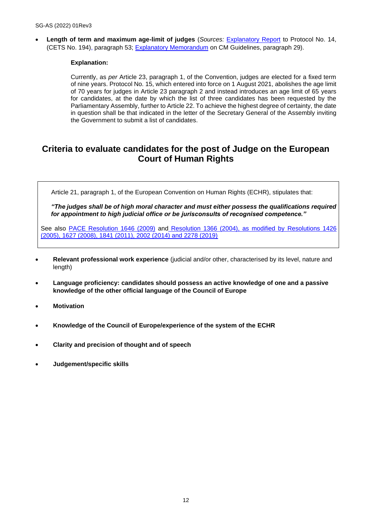• **Length of term and maximum age-limit of judges** (*Sources:* [Explanatory Report](http://conventions.coe.int/Treaty/EN/Reports/Html/194.htm) to Protocol No. 14, (CETS No. 194), paragraph 53; [Explanatory Memorandum](https://wcd.coe.int/ViewDoc.jsp?id=1919201&Site=CM) on CM Guidelines, paragraph 29).

## **Explanation:**

Currently, as *per* Article 23, paragraph 1, of the Convention, judges are elected for a fixed term of nine years. Protocol No. 15, which entered into force on 1 August 2021, abolishes the age limit of 70 years for judges in Article 23 paragraph 2 and instead introduces an age limit of 65 years for candidates, at the date by which the list of three candidates has been requested by the Parliamentary Assembly, further to Article 22. To achieve the highest degree of certainty, the date in question shall be that indicated in the letter of the Secretary General of the Assembly inviting the Government to submit a list of candidates.

## **Criteria to evaluate candidates for the post of Judge on the European Court of Human Rights**

Article 21, paragraph 1, of the European Convention on Human Rights (ECHR), stipulates that:

*"The judges shall be of high moral character and must either possess the qualifications required for appointment to high judicial office or be jurisconsults of recognised competence."*

See also [PACE Resolution 1646 \(2009\)](http://assembly.coe.int/nw/xml/XRef/Xref-DocDetails-EN.asp?fileid=17704) and [Resolution 1366 \(2004\), as modified by Resolutions 1426](http://assembly.coe.int/nw/xml/RoP/RoP-XML2HTML-EN.asp?id=EN_CEGCAIFG#Format-It)  [\(2005\), 1627 \(2008\), 1841 \(2011\), 2002 \(2014\) and 2278 \(2019\)](http://assembly.coe.int/nw/xml/RoP/RoP-XML2HTML-EN.asp?id=EN_CEGCAIFG#Format-It)

- **Relevant professional work experience** (judicial and/or other, characterised by its level, nature and length)
- **Language proficiency: candidates should possess an active knowledge of one and a passive knowledge of the other official language of the Council of Europe**
- **Motivation**
- **Knowledge of the Council of Europe/experience of the system of the ECHR**
- **Clarity and precision of thought and of speech**
- **Judgement/specific skills**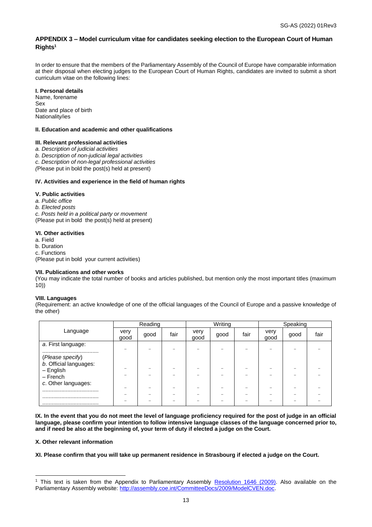## **APPENDIX 3 – Model curriculum vitae for candidates seeking election to the European Court of Human Rights<sup>1</sup>**

In order to ensure that the members of the Parliamentary Assembly of the Council of Europe have comparable information at their disposal when electing judges to the European Court of Human Rights, candidates are invited to submit a short curriculum vitae on the following lines:

## **I. Personal details**

Name, forename Sex Date and place of birth Nationality/ies

### **II. Education and academic and other qualifications**

### **III. Relevant professional activities**

- *a. Description of judicial activities*
- *b. Description of non-judicial legal activities*
- *c. Description of non-legal professional activities*
- *(*Please put in bold the post(s) held at present)

### **IV. Activities and experience in the field of human rights**

#### **V. Public activities**

- *a. Public office*
- *b. Elected posts*

*c. Posts held in a political party or movement*

(Please put in bold the post(s) held at present)

### **VI. Other activities**

- a. Field
- b. Duration
- c. Functions

(Please put in bold your current activities)

#### **VII. Publications and other works**

(You may indicate the total number of books and articles published, but mention only the most important titles (maximum 10))

#### **VIII. Languages**

(Requirement: an active knowledge of one of the official languages of the Council of Europe and a passive knowledge of the other)

|                                            | Reading      |                      |         | Writing      |                      |         | Speaking     |                  |      |
|--------------------------------------------|--------------|----------------------|---------|--------------|----------------------|---------|--------------|------------------|------|
| Language                                   | very<br>good | good                 | fair    | very<br>good | good                 | fair    | very<br>good | good             | fair |
| a. First language:                         | $\cdot$      | $\ddot{\phantom{0}}$ | $\cdot$ | $\cdots$     | $\ddot{\phantom{a}}$ |         |              |                  |      |
| (Please specify)<br>b. Official languages: |              |                      |         |              |                      |         |              |                  |      |
| $-$ English                                | $\cdot$      | $\cdots$             |         | $\cdots$     | $\cdots$             | $\cdot$ |              |                  |      |
| – French                                   | $\cdot$      |                      |         | $\cdots$     | $\cdots$             |         |              |                  |      |
| c. Other languages:                        | $\cdot$      | $\cdots$             | $\cdot$ |              | $\cdots$             | $\cdot$ |              |                  |      |
|                                            | $\cdot$      | $\cdots$             |         | $\cdots$     | $\cdots$             | $\cdot$ |              | $\bullet\bullet$ |      |
|                                            |              |                      |         | $\cdots$     | $\cdots$             | $\cdot$ |              | $\cdots$         |      |
|                                            |              |                      |         |              |                      |         |              |                  |      |

**IX. In the event that you do not meet the level of language proficiency required for the post of judge in an official language, please confirm your intention to follow intensive language classes of the language concerned prior to, and if need be also at the beginning of, your term of duty if elected a judge on the Court.** 

#### **X. Other relevant information**

**XI. Please confirm that you will take up permanent residence in Strasbourg if elected a judge on the Court.**

This text is taken from the Appendix to Parliamentary Assembly [Resolution 1646 \(2009\).](http://assembly.coe.int/nw/xml/XRef/Xref-XML2HTML-en.asp?fileid=17704&lang=en) Also available on the Parliamentary Assembly website: [http://assembly.coe.int/CommitteeDocs/2009/ModelCVEN.doc.](http://assembly.coe.int/CommitteeDocs/2009/ModelCVEN.doc)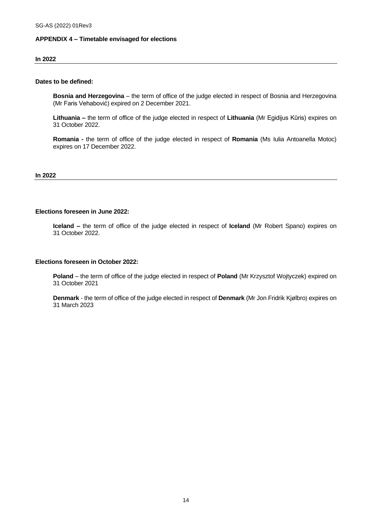## **APPENDIX 4 – Timetable envisaged for elections**

#### **In 2022**

## **Dates to be defined:**

**Bosnia and Herzegovina** – the term of office of the judge elected in respect of Bosnia and Herzegovina (Mr Faris Vehabović) expired on 2 December 2021.

**Lithuania –** the term of office of the judge elected in respect of **Lithuania** (Mr Egidijus Kūris) expires on 31 October 2022.

**Romania -** the term of office of the judge elected in respect of **Romania** (Ms Iulia Antoanella Motoc) expires on 17 December 2022.

### **In 2022**

## **Elections foreseen in June 2022:**

**Iceland –** the term of office of the judge elected in respect of **Iceland** (Mr Robert Spano) expires on 31 October 2022.

### **Elections foreseen in October 2022:**

**Poland** – the term of office of the judge elected in respect of **Poland** (Mr Krzysztof Wojtyczek) expired on 31 October 2021

**Denmark** - the term of office of the judge elected in respect of **Denmark** (Mr Jon Fridrik Kjølbro) expires on 31 March 2023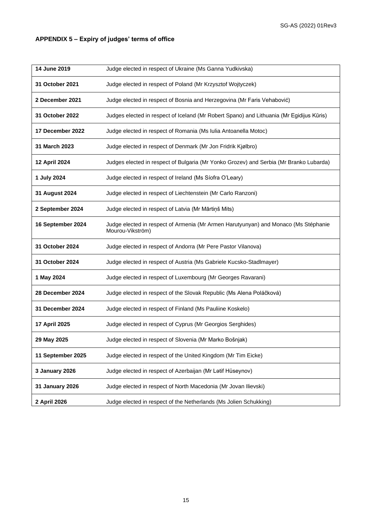## **APPENDIX 5 – Expiry of judges' terms of office**

| 14 June 2019      | Judge elected in respect of Ukraine (Ms Ganna Yudkivska)                                                |
|-------------------|---------------------------------------------------------------------------------------------------------|
| 31 October 2021   | Judge elected in respect of Poland (Mr Krzysztof Wojtyczek)                                             |
| 2 December 2021   | Judge elected in respect of Bosnia and Herzegovina (Mr Faris Vehabović)                                 |
| 31 October 2022   | Judges elected in respect of Iceland (Mr Robert Spano) and Lithuania (Mr Egidijus Kūris)                |
| 17 December 2022  | Judge elected in respect of Romania (Ms Iulia Antoanella Motoc)                                         |
| 31 March 2023     | Judge elected in respect of Denmark (Mr Jon Fridrik Kjølbro)                                            |
| 12 April 2024     | Judges elected in respect of Bulgaria (Mr Yonko Grozev) and Serbia (Mr Branko Lubarda)                  |
| 1 July 2024       | Judge elected in respect of Ireland (Ms Síofra O'Leary)                                                 |
| 31 August 2024    | Judge elected in respect of Liechtenstein (Mr Carlo Ranzoni)                                            |
| 2 September 2024  | Judge elected in respect of Latvia (Mr Mārtiņš Mits)                                                    |
| 16 September 2024 | Judge elected in respect of Armenia (Mr Armen Harutyunyan) and Monaco (Ms Stéphanie<br>Mourou-Vikström) |
| 31 October 2024   | Judge elected in respect of Andorra (Mr Pere Pastor Vilanova)                                           |
| 31 October 2024   | Judge elected in respect of Austria (Ms Gabriele Kucsko-Stadlmayer)                                     |
| 1 May 2024        | Judge elected in respect of Luxembourg (Mr Georges Ravarani)                                            |
| 28 December 2024  | Judge elected in respect of the Slovak Republic (Ms Alena Poláčková)                                    |
| 31 December 2024  | Judge elected in respect of Finland (Ms Pauliine Koskelo)                                               |
| 17 April 2025     | Judge elected in respect of Cyprus (Mr Georgios Serghides)                                              |
| 29 May 2025       | Judge elected in respect of Slovenia (Mr Marko Bošnjak)                                                 |
| 11 September 2025 | Judge elected in respect of the United Kingdom (Mr Tim Eicke)                                           |
| 3 January 2026    | Judge elected in respect of Azerbaijan (Mr Latif Hüseynov)                                              |
| 31 January 2026   | Judge elected in respect of North Macedonia (Mr Jovan Ilievski)                                         |
| 2 April 2026      | Judge elected in respect of the Netherlands (Ms Jolien Schukking)                                       |